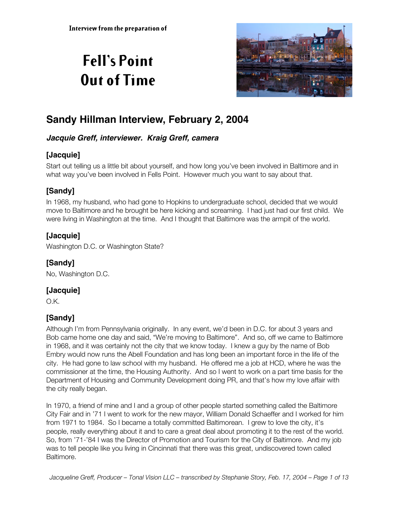# **Fell's Point Out of Time**



## **Sandy Hillman Interview, February 2, 2004**

#### **Jacquie Greff, interviewer. Kraig Greff, camera**

## **[Jacquie]**

Start out telling us a little bit about yourself, and how long you've been involved in Baltimore and in what way you've been involved in Fells Point. However much you want to say about that.

## **[Sandy]**

In 1968, my husband, who had gone to Hopkins to undergraduate school, decided that we would move to Baltimore and he brought be here kicking and screaming. I had just had our first child. We were living in Washington at the time. And I thought that Baltimore was the armpit of the world.

## **[Jacquie]**

Washington D.C. or Washington State?

## **[Sandy]**

No, Washington D.C.

## **[Jacquie]**

O.K.

## **[Sandy]**

Although I'm from Pennsylvania originally. In any event, we'd been in D.C. for about 3 years and Bob came home one day and said, "We're moving to Baltimore". And so, off we came to Baltimore in 1968, and it was certainly not the city that we know today. I knew a guy by the name of Bob Embry would now runs the Abell Foundation and has long been an important force in the life of the city. He had gone to law school with my husband. He offered me a job at HCD, where he was the commissioner at the time, the Housing Authority. And so I went to work on a part time basis for the Department of Housing and Community Development doing PR, and that's how my love affair with the city really began.

In 1970, a friend of mine and I and a group of other people started something called the Baltimore City Fair and in '71 I went to work for the new mayor, William Donald Schaeffer and I worked for him from 1971 to 1984. So I became a totally committed Baltimorean. I grew to love the city, it's people, really everything about it and to care a great deal about promoting it to the rest of the world. So, from '71-'84 I was the Director of Promotion and Tourism for the City of Baltimore. And my job was to tell people like you living in Cincinnati that there was this great, undiscovered town called Baltimore.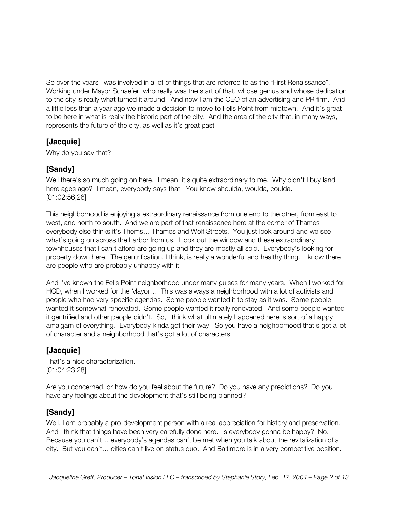So over the years I was involved in a lot of things that are referred to as the "First Renaissance". Working under Mayor Schaefer, who really was the start of that, whose genius and whose dedication to the city is really what turned it around. And now I am the CEO of an advertising and PR firm. And a little less than a year ago we made a decision to move to Fells Point from midtown. And it's great to be here in what is really the historic part of the city. And the area of the city that, in many ways, represents the future of the city, as well as it's great past

## **[Jacquie]**

Why do you say that?

## **[Sandy]**

Well there's so much going on here. I mean, it's quite extraordinary to me. Why didn't I buy land here ages ago? I mean, everybody says that. You know shoulda, woulda, coulda. [01:02:56;26]

This neighborhood is enjoying a extraordinary renaissance from one end to the other, from east to west, and north to south. And we are part of that renaissance here at the corner of Thameseverybody else thinks it's Thems… Thames and Wolf Streets. You just look around and we see what's going on across the harbor from us. I look out the window and these extraordinary townhouses that I can't afford are going up and they are mostly all sold. Everybody's looking for property down here. The gentrification, I think, is really a wonderful and healthy thing. I know there are people who are probably unhappy with it.

And I've known the Fells Point neighborhood under many guises for many years. When I worked for HCD, when I worked for the Mayor… This was always a neighborhood with a lot of activists and people who had very specific agendas. Some people wanted it to stay as it was. Some people wanted it somewhat renovated. Some people wanted it really renovated. And some people wanted it gentrified and other people didn't. So, I think what ultimately happened here is sort of a happy amalgam of everything. Everybody kinda got their way. So you have a neighborhood that's got a lot of character and a neighborhood that's got a lot of characters.

#### **[Jacquie]**

That's a nice characterization. [01:04:23;28]

Are you concerned, or how do you feel about the future? Do you have any predictions? Do you have any feelings about the development that's still being planned?

## **[Sandy]**

Well, I am probably a pro-development person with a real appreciation for history and preservation. And I think that things have been very carefully done here. Is everybody gonna be happy? No. Because you can't… everybody's agendas can't be met when you talk about the revitalization of a city. But you can't… cities can't live on status quo. And Baltimore is in a very competitive position.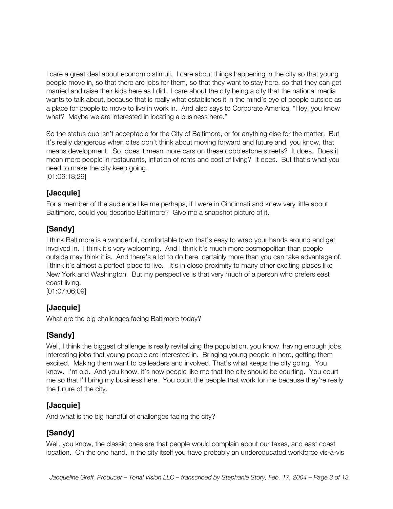I care a great deal about economic stimuli. I care about things happening in the city so that young people move in, so that there are jobs for them, so that they want to stay here, so that they can get married and raise their kids here as I did. I care about the city being a city that the national media wants to talk about, because that is really what establishes it in the mind's eye of people outside as a place for people to move to live in work in. And also says to Corporate America, "Hey, you know what? Maybe we are interested in locating a business here."

So the status quo isn't acceptable for the City of Baltimore, or for anything else for the matter. But it's really dangerous when cites don't think about moving forward and future and, you know, that means development. So, does it mean more cars on these cobblestone streets? It does. Does it mean more people in restaurants, inflation of rents and cost of living? It does. But that's what you need to make the city keep going. [01:06:18;29]

## **[Jacquie]**

For a member of the audience like me perhaps, if I were in Cincinnati and knew very little about Baltimore, could you describe Baltimore? Give me a snapshot picture of it.

## **[Sandy]**

I think Baltimore is a wonderful, comfortable town that's easy to wrap your hands around and get involved in. I think it's very welcoming. And I think it's much more cosmopolitan than people outside may think it is. And there's a lot to do here, certainly more than you can take advantage of. I think it's almost a perfect place to live. It's in close proximity to many other exciting places like New York and Washington. But my perspective is that very much of a person who prefers east coast living.

[01:07:06;09]

## **[Jacquie]**

What are the big challenges facing Baltimore today?

## **[Sandy]**

Well, I think the biggest challenge is really revitalizing the population, you know, having enough jobs, interesting jobs that young people are interested in. Bringing young people in here, getting them excited. Making them want to be leaders and involved. That's what keeps the city going. You know. I'm old. And you know, it's now people like me that the city should be courting. You court me so that I'll bring my business here. You court the people that work for me because they're really the future of the city.

## **[Jacquie]**

And what is the big handful of challenges facing the city?

## **[Sandy]**

Well, you know, the classic ones are that people would complain about our taxes, and east coast location. On the one hand, in the city itself you have probably an undereducated workforce vis-à-vis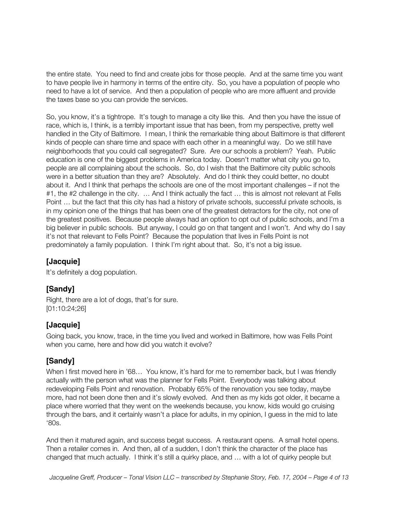the entire state. You need to find and create jobs for those people. And at the same time you want to have people live in harmony in terms of the entire city. So, you have a population of people who need to have a lot of service. And then a population of people who are more affluent and provide the taxes base so you can provide the services.

So, you know, it's a tightrope. It's tough to manage a city like this. And then you have the issue of race, which is, I think, is a terribly important issue that has been, from my perspective, pretty well handled in the City of Baltimore. I mean, I think the remarkable thing about Baltimore is that different kinds of people can share time and space with each other in a meaningful way. Do we still have neighborhoods that you could call segregated? Sure. Are our schools a problem? Yeah. Public education is one of the biggest problems in America today. Doesn't matter what city you go to, people are all complaining about the schools. So, do I wish that the Baltimore city public schools were in a better situation than they are? Absolutely. And do I think they could better, no doubt about it. And I think that perhaps the schools are one of the most important challenges – if not the #1, the #2 challenge in the city. ... And I think actually the fact ... this is almost not relevant at Fells Point … but the fact that this city has had a history of private schools, successful private schools, is in my opinion one of the things that has been one of the greatest detractors for the city, not one of the greatest positives. Because people always had an option to opt out of public schools, and I'm a big believer in public schools. But anyway, I could go on that tangent and I won't. And why do I say it's not that relevant to Fells Point? Because the population that lives in Fells Point is not predominately a family population. I think I'm right about that. So, it's not a big issue.

#### **[Jacquie]**

It's definitely a dog population.

#### **[Sandy]**

Right, there are a lot of dogs, that's for sure. [01:10:24;26]

#### **[Jacquie]**

Going back, you know, trace, in the time you lived and worked in Baltimore, how was Fells Point when you came, here and how did you watch it evolve?

## **[Sandy]**

When I first moved here in '68... You know, it's hard for me to remember back, but I was friendly actually with the person what was the planner for Fells Point. Everybody was talking about redeveloping Fells Point and renovation. Probably 65% of the renovation you see today, maybe more, had not been done then and it's slowly evolved. And then as my kids got older, it became a place where worried that they went on the weekends because, you know, kids would go cruising through the bars, and it certainly wasn't a place for adults, in my opinion, I guess in the mid to late '80s.

And then it matured again, and success begat success. A restaurant opens. A small hotel opens. Then a retailer comes in. And then, all of a sudden, I don't think the character of the place has changed that much actually. I think it's still a quirky place, and … with a lot of quirky people but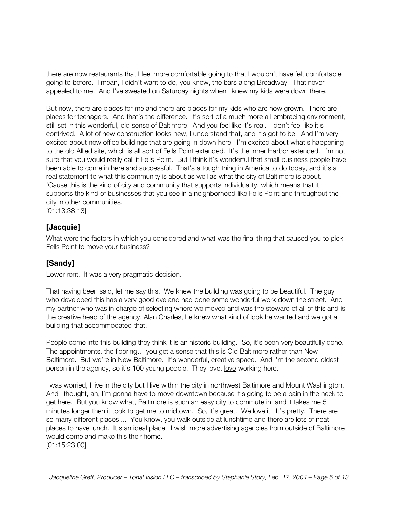there are now restaurants that I feel more comfortable going to that I wouldn't have felt comfortable going to before. I mean, I didn't want to do, you know, the bars along Broadway. That never appealed to me. And I've sweated on Saturday nights when I knew my kids were down there.

But now, there are places for me and there are places for my kids who are now grown. There are places for teenagers. And that's the difference. It's sort of a much more all-embracing environment, still set in this wonderful, old sense of Baltimore. And you feel like it's real. I don't feel like it's contrived. A lot of new construction looks new, I understand that, and it's got to be. And I'm very excited about new office buildings that are going in down here. I'm excited about what's happening to the old Allied site, which is all sort of Fells Point extended. It's the Inner Harbor extended. I'm not sure that you would really call it Fells Point. But I think it's wonderful that small business people have been able to come in here and successful. That's a tough thing in America to do today, and it's a real statement to what this community is about as well as what the city of Baltimore is about. 'Cause this is the kind of city and community that supports individuality, which means that it supports the kind of businesses that you see in a neighborhood like Fells Point and throughout the city in other communities.

[01:13:38;13]

#### **[Jacquie]**

What were the factors in which you considered and what was the final thing that caused you to pick Fells Point to move your business?

#### **[Sandy]**

Lower rent. It was a very pragmatic decision.

That having been said, let me say this. We knew the building was going to be beautiful. The guy who developed this has a very good eye and had done some wonderful work down the street. And my partner who was in charge of selecting where we moved and was the steward of all of this and is the creative head of the agency, Alan Charles, he knew what kind of look he wanted and we got a building that accommodated that.

People come into this building they think it is an historic building. So, it's been very beautifully done. The appointments, the flooring… you get a sense that this is Old Baltimore rather than New Baltimore. But we're in New Baltimore. It's wonderful, creative space. And I'm the second oldest person in the agency, so it's 100 young people. They love, love working here.

I was worried, I live in the city but I live within the city in northwest Baltimore and Mount Washington. And I thought, ah, I'm gonna have to move downtown because it's going to be a pain in the neck to get here. But you know what, Baltimore is such an easy city to commute in, and it takes me 5 minutes longer then it took to get me to midtown. So, it's great. We love it. It's pretty. There are so many different places.... You know, you walk outside at lunchtime and there are lots of neat places to have lunch. It's an ideal place. I wish more advertising agencies from outside of Baltimore would come and make this their home. [01:15:23;00]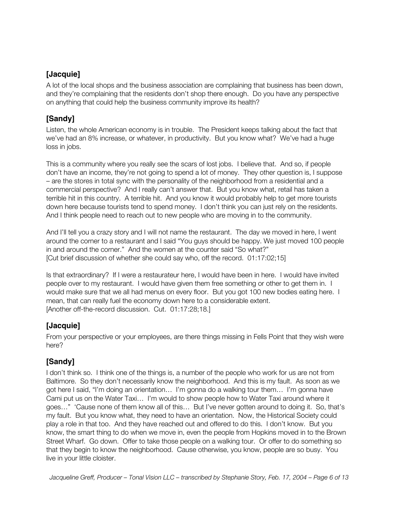## **[Jacquie]**

A lot of the local shops and the business association are complaining that business has been down, and they're complaining that the residents don't shop there enough. Do you have any perspective on anything that could help the business community improve its health?

## **[Sandy]**

Listen, the whole American economy is in trouble. The President keeps talking about the fact that we've had an 8% increase, or whatever, in productivity. But you know what? We've had a huge loss in jobs.

This is a community where you really see the scars of lost jobs. I believe that. And so, if people don't have an income, they're not going to spend a lot of money. They other question is, I suppose – are the stores in total sync with the personality of the neighborhood from a residential and a commercial perspective? And I really can't answer that. But you know what, retail has taken a terrible hit in this country. A terrible hit. And you know it would probably help to get more tourists down here because tourists tend to spend money. I don't think you can just rely on the residents. And I think people need to reach out to new people who are moving in to the community.

And I'll tell you a crazy story and I will not name the restaurant. The day we moved in here, I went around the corner to a restaurant and I said "You guys should be happy. We just moved 100 people in and around the corner." And the women at the counter said "So what?" [Cut brief discussion of whether she could say who, off the record. 01:17:02;15]

Is that extraordinary? If I were a restaurateur here, I would have been in here. I would have invited people over to my restaurant. I would have given them free something or other to get them in. I would make sure that we all had menus on every floor. But you got 100 new bodies eating here. I mean, that can really fuel the economy down here to a considerable extent. [Another off-the-record discussion. Cut. 01:17:28;18.]

## **[Jacquie]**

From your perspective or your employees, are there things missing in Fells Point that they wish were here?

## **[Sandy]**

I don't think so. I think one of the things is, a number of the people who work for us are not from Baltimore. So they don't necessarily know the neighborhood. And this is my fault. As soon as we got here I said, "I'm doing an orientation… I'm gonna do a walking tour them… I'm gonna have Cami put us on the Water Taxi… I'm would to show people how to Water Taxi around where it goes…" 'Cause none of them know all of this… But I've never gotten around to doing it. So, that's my fault. But you know what, they need to have an orientation. Now, the Historical Society could play a role in that too. And they have reached out and offered to do this. I don't know. But you know, the smart thing to do when we move in, even the people from Hopkins moved in to the Brown Street Wharf. Go down. Offer to take those people on a walking tour. Or offer to do something so that they begin to know the neighborhood. Cause otherwise, you know, people are so busy. You live in your little cloister.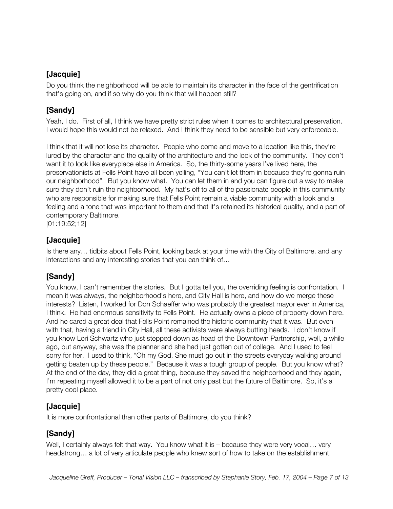## **[Jacquie]**

Do you think the neighborhood will be able to maintain its character in the face of the gentrification that's going on, and if so why do you think that will happen still?

## **[Sandy]**

Yeah, I do. First of all, I think we have pretty strict rules when it comes to architectural preservation. I would hope this would not be relaxed. And I think they need to be sensible but very enforceable.

I think that it will not lose its character. People who come and move to a location like this, they're lured by the character and the quality of the architecture and the look of the community. They don't want it to look like everyplace else in America. So, the thirty-some years I've lived here, the preservationists at Fells Point have all been yelling, "You can't let them in because they're gonna ruin our neighborhood". But you know what. You can let them in and you can figure out a way to make sure they don't ruin the neighborhood. My hat's off to all of the passionate people in this community who are responsible for making sure that Fells Point remain a viable community with a look and a feeling and a tone that was important to them and that it's retained its historical quality, and a part of contemporary Baltimore.

[01:19:52;12]

## **[Jacquie]**

Is there any… tidbits about Fells Point, looking back at your time with the City of Baltimore. and any interactions and any interesting stories that you can think of…

## **[Sandy]**

You know, I can't remember the stories. But I gotta tell you, the overriding feeling is confrontation. I mean it was always, the neighborhood's here, and City Hall is here, and how do we merge these interests? Listen, I worked for Don Schaeffer who was probably the greatest mayor ever in America, I think. He had enormous sensitivity to Fells Point. He actually owns a piece of property down here. And he cared a great deal that Fells Point remained the historic community that it was. But even with that, having a friend in City Hall, all these activists were always butting heads. I don't know if you know Lori Schwartz who just stepped down as head of the Downtown Partnership, well, a while ago, but anyway, she was the planner and she had just gotten out of college. And I used to feel sorry for her. I used to think, "Oh my God. She must go out in the streets everyday walking around getting beaten up by these people." Because it was a tough group of people. But you know what? At the end of the day, they did a great thing, because they saved the neighborhood and they again, I'm repeating myself allowed it to be a part of not only past but the future of Baltimore. So, it's a pretty cool place.

## **[Jacquie]**

It is more confrontational than other parts of Baltimore, do you think?

## **[Sandy]**

Well, I certainly always felt that way. You know what it is – because they were very vocal... very headstrong… a lot of very articulate people who knew sort of how to take on the establishment.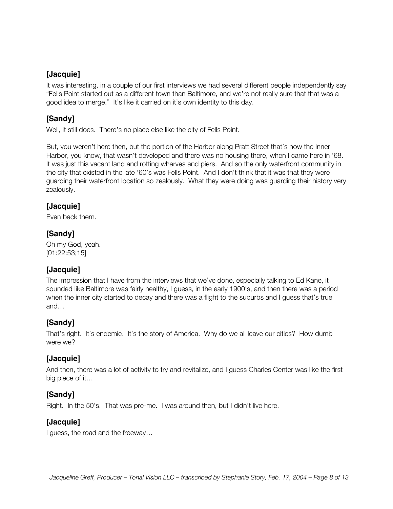#### **[Jacquie]**

It was interesting, in a couple of our first interviews we had several different people independently say "Fells Point started out as a different town than Baltimore, and we're not really sure that that was a good idea to merge." It's like it carried on it's own identity to this day.

## **[Sandy]**

Well, it still does. There's no place else like the city of Fells Point.

But, you weren't here then, but the portion of the Harbor along Pratt Street that's now the Inner Harbor, you know, that wasn't developed and there was no housing there, when I came here in '68. It was just this vacant land and rotting wharves and piers. And so the only waterfront community in the city that existed in the late '60's was Fells Point. And I don't think that it was that they were guarding their waterfront location so zealously. What they were doing was guarding their history very zealously.

#### **[Jacquie]**

Even back them.

#### **[Sandy]**

Oh my God, yeah. [01:22:53;15]

#### **[Jacquie]**

The impression that I have from the interviews that we've done, especially talking to Ed Kane, it sounded like Baltimore was fairly healthy, I guess, in the early 1900's, and then there was a period when the inner city started to decay and there was a flight to the suburbs and I guess that's true and…

#### **[Sandy]**

That's right. It's endemic. It's the story of America. Why do we all leave our cities? How dumb were we?

#### **[Jacquie]**

And then, there was a lot of activity to try and revitalize, and I guess Charles Center was like the first big piece of it…

#### **[Sandy]**

Right. In the 50's. That was pre-me. I was around then, but I didn't live here.

#### **[Jacquie]**

I guess, the road and the freeway…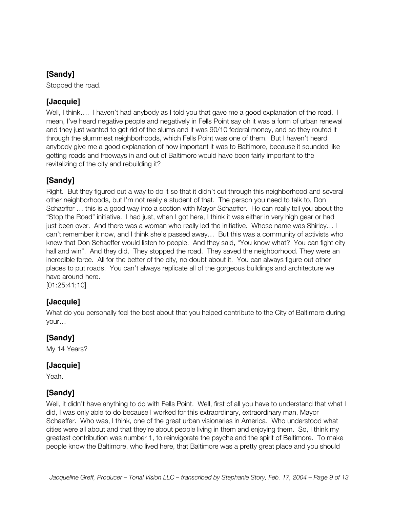## **[Sandy]**

Stopped the road.

## **[Jacquie]**

Well, I think.... I haven't had anybody as I told you that gave me a good explanation of the road. I mean, I've heard negative people and negatively in Fells Point say oh it was a form of urban renewal and they just wanted to get rid of the slums and it was 90/10 federal money, and so they routed it through the slummiest neighborhoods, which Fells Point was one of them. But I haven't heard anybody give me a good explanation of how important it was to Baltimore, because it sounded like getting roads and freeways in and out of Baltimore would have been fairly important to the revitalizing of the city and rebuilding it?

## **[Sandy]**

Right. But they figured out a way to do it so that it didn't cut through this neighborhood and several other neighborhoods, but I'm not really a student of that. The person you need to talk to, Don Schaeffer … this is a good way into a section with Mayor Schaeffer. He can really tell you about the "Stop the Road" initiative. I had just, when I got here, I think it was either in very high gear or had just been over. And there was a woman who really led the initiative. Whose name was Shirley… I can't remember it now, and I think she's passed away… But this was a community of activists who knew that Don Schaeffer would listen to people. And they said, "You know what? You can fight city hall and win". And they did. They stopped the road. They saved the neighborhood. They were an incredible force. All for the better of the city, no doubt about it. You can always figure out other places to put roads. You can't always replicate all of the gorgeous buildings and architecture we have around here.

[01:25:41;10]

## **[Jacquie]**

What do you personally feel the best about that you helped contribute to the City of Baltimore during your…

#### **[Sandy]**

My 14 Years?

#### **[Jacquie]**

Yeah.

#### **[Sandy]**

Well, it didn't have anything to do with Fells Point. Well, first of all you have to understand that what I did, I was only able to do because I worked for this extraordinary, extraordinary man, Mayor Schaeffer. Who was, I think, one of the great urban visionaries in America. Who understood what cities were all about and that they're about people living in them and enjoying them. So, I think my greatest contribution was number 1, to reinvigorate the psyche and the spirit of Baltimore. To make people know the Baltimore, who lived here, that Baltimore was a pretty great place and you should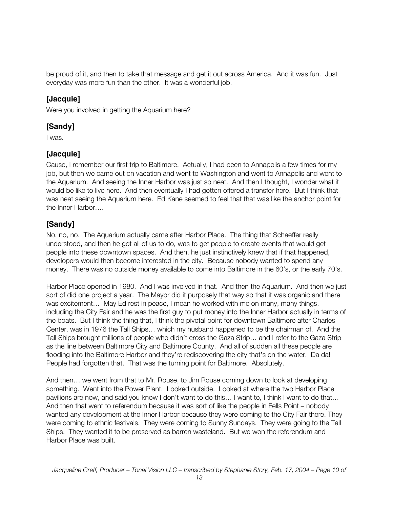be proud of it, and then to take that message and get it out across America. And it was fun. Just everyday was more fun than the other. It was a wonderful job.

#### **[Jacquie]**

Were you involved in getting the Aquarium here?

#### **[Sandy]**

I was.

## **[Jacquie]**

Cause, I remember our first trip to Baltimore. Actually, I had been to Annapolis a few times for my job, but then we came out on vacation and went to Washington and went to Annapolis and went to the Aquarium. And seeing the Inner Harbor was just so neat. And then I thought, I wonder what it would be like to live here. And then eventually I had gotten offered a transfer here. But I think that was neat seeing the Aquarium here. Ed Kane seemed to feel that that was like the anchor point for the Inner Harbor….

## **[Sandy]**

No, no, no. The Aquarium actually came after Harbor Place. The thing that Schaeffer really understood, and then he got all of us to do, was to get people to create events that would get people into these downtown spaces. And then, he just instinctively knew that if that happened, developers would then become interested in the city. Because nobody wanted to spend any money. There was no outside money available to come into Baltimore in the 60's, or the early 70's.

Harbor Place opened in 1980. And I was involved in that. And then the Aquarium. And then we just sort of did one project a year. The Mayor did it purposely that way so that it was organic and there was excitement… May Ed rest in peace, I mean he worked with me on many, many things, including the City Fair and he was the first guy to put money into the Inner Harbor actually in terms of the boats. But I think the thing that, I think the pivotal point for downtown Baltimore after Charles Center, was in 1976 the Tall Ships… which my husband happened to be the chairman of. And the Tall Ships brought millions of people who didn't cross the Gaza Strip… and I refer to the Gaza Strip as the line between Baltimore City and Baltimore County. And all of sudden all these people are flooding into the Baltimore Harbor and they're rediscovering the city that's on the water. Da da! People had forgotten that. That was the turning point for Baltimore. Absolutely.

And then… we went from that to Mr. Rouse, to Jim Rouse coming down to look at developing something. Went into the Power Plant. Looked outside. Looked at where the two Harbor Place pavilions are now, and said you know I don't want to do this… I want to, I think I want to do that… And then that went to referendum because it was sort of like the people in Fells Point – nobody wanted any development at the Inner Harbor because they were coming to the City Fair there. They were coming to ethnic festivals. They were coming to Sunny Sundays. They were going to the Tall Ships. They wanted it to be preserved as barren wasteland. But we won the referendum and Harbor Place was built.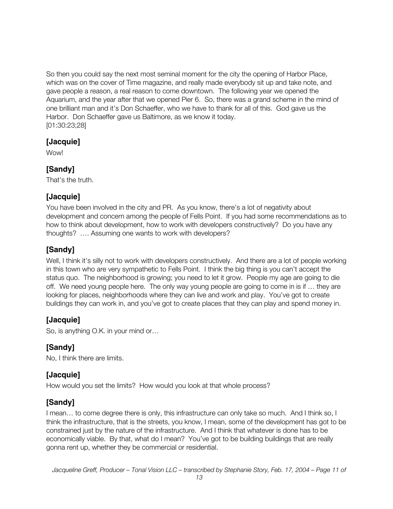So then you could say the next most seminal moment for the city the opening of Harbor Place, which was on the cover of Time magazine, and really made everybody sit up and take note, and gave people a reason, a real reason to come downtown. The following year we opened the Aquarium, and the year after that we opened Pier 6. So, there was a grand scheme in the mind of one brilliant man and it's Don Schaeffer, who we have to thank for all of this. God gave us the Harbor. Don Schaeffer gave us Baltimore, as we know it today. [01:30:23;28]

#### **[Jacquie]**

Wow!

#### **[Sandy]**

That's the truth.

## **[Jacquie]**

You have been involved in the city and PR. As you know, there's a lot of negativity about development and concern among the people of Fells Point. If you had some recommendations as to how to think about development, how to work with developers constructively? Do you have any thoughts? …. Assuming one wants to work with developers?

## **[Sandy]**

Well, I think it's silly not to work with developers constructively. And there are a lot of people working in this town who are very sympathetic to Fells Point. I think the big thing is you can't accept the status quo. The neighborhood is growing; you need to let it grow. People my age are going to die off. We need young people here. The only way young people are going to come in is if … they are looking for places, neighborhoods where they can live and work and play. You've got to create buildings they can work in, and you've got to create places that they can play and spend money in.

## **[Jacquie]**

So, is anything O.K. in your mind or…

#### **[Sandy]**

No, I think there are limits.

#### **[Jacquie]**

How would you set the limits? How would you look at that whole process?

#### **[Sandy]**

I mean… to come degree there is only, this infrastructure can only take so much. And I think so, I think the infrastructure, that is the streets, you know, I mean, some of the development has got to be constrained just by the nature of the infrastructure. And I think that whatever is done has to be economically viable. By that, what do I mean? You've got to be building buildings that are really gonna rent up, whether they be commercial or residential.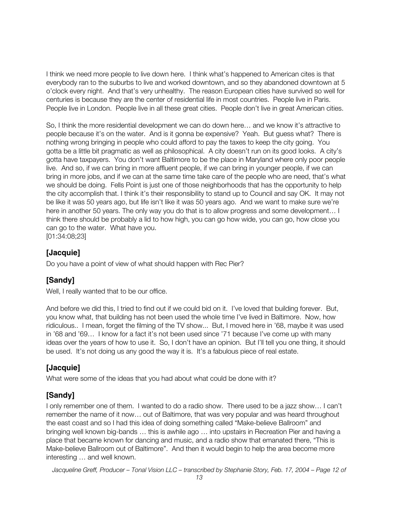I think we need more people to live down here. I think what's happened to American cites is that everybody ran to the suburbs to live and worked downtown, and so they abandoned downtown at 5 o'clock every night. And that's very unhealthy. The reason European cities have survived so well for centuries is because they are the center of residential life in most countries. People live in Paris. People live in London. People live in all these great cities. People don't live in great American cities.

So, I think the more residential development we can do down here… and we know it's attractive to people because it's on the water. And is it gonna be expensive? Yeah. But guess what? There is nothing wrong bringing in people who could afford to pay the taxes to keep the city going. You gotta be a little bit pragmatic as well as philosophical. A city doesn't run on its good looks. A city's gotta have taxpayers. You don't want Baltimore to be the place in Maryland where only poor people live. And so, if we can bring in more affluent people, if we can bring in younger people, if we can bring in more jobs, and if we can at the same time take care of the people who are need, that's what we should be doing. Fells Point is just one of those neighborhoods that has the opportunity to help the city accomplish that. I think it's their responsibility to stand up to Council and say OK. It may not be like it was 50 years ago, but life isn't like it was 50 years ago. And we want to make sure we're here in another 50 years. The only way you do that is to allow progress and some development... I think there should be probably a lid to how high, you can go how wide, you can go, how close you can go to the water. What have you.

[01:34:08;23]

#### **[Jacquie]**

Do you have a point of view of what should happen with Rec Pier?

## **[Sandy]**

Well, I really wanted that to be our office.

And before we did this, I tried to find out if we could bid on it. I've loved that building forever. But, you know what, that building has not been used the whole time I've lived in Baltimore. Now, how ridiculous.. I mean, forget the filming of the TV show... But, I moved here in '68, maybe it was used in '68 and '69… I know for a fact it's not been used since '71 because I've come up with many ideas over the years of how to use it. So, I don't have an opinion. But I'll tell you one thing, it should be used. It's not doing us any good the way it is. It's a fabulous piece of real estate.

#### **[Jacquie]**

What were some of the ideas that you had about what could be done with it?

## **[Sandy]**

I only remember one of them. I wanted to do a radio show. There used to be a jazz show… I can't remember the name of it now… out of Baltimore, that was very popular and was heard throughout the east coast and so I had this idea of doing something called "Make-believe Ballroom" and bringing well known big-bands … this is awhile ago … into upstairs in Recreation Pier and having a place that became known for dancing and music, and a radio show that emanated there, "This is Make-believe Ballroom out of Baltimore". And then it would begin to help the area become more interesting … and well known.

*Jacqueline Greff, Producer – Tonal Vision LLC – transcribed by Stephanie Story, Feb. 17, 2004 – Page 12 of*